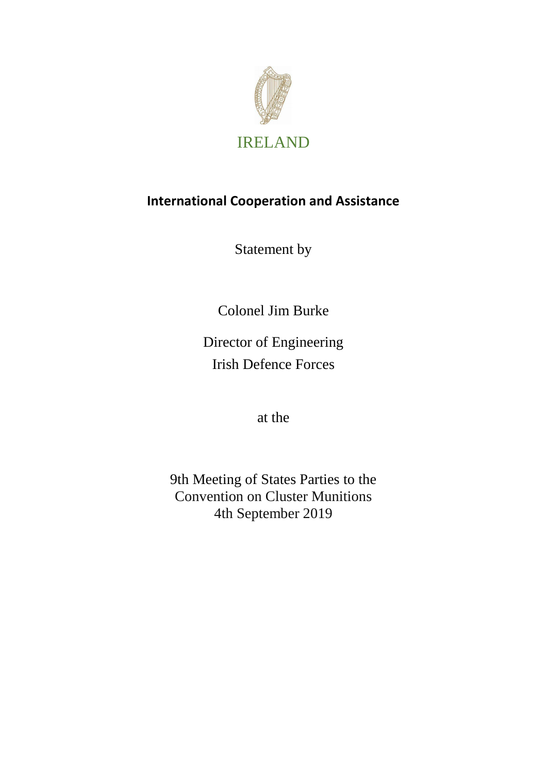

# **International Cooperation and Assistance**

Statement by

Colonel Jim Burke

Director of Engineering Irish Defence Forces

at the

9th Meeting of States Parties to the Convention on Cluster Munitions 4th September 2019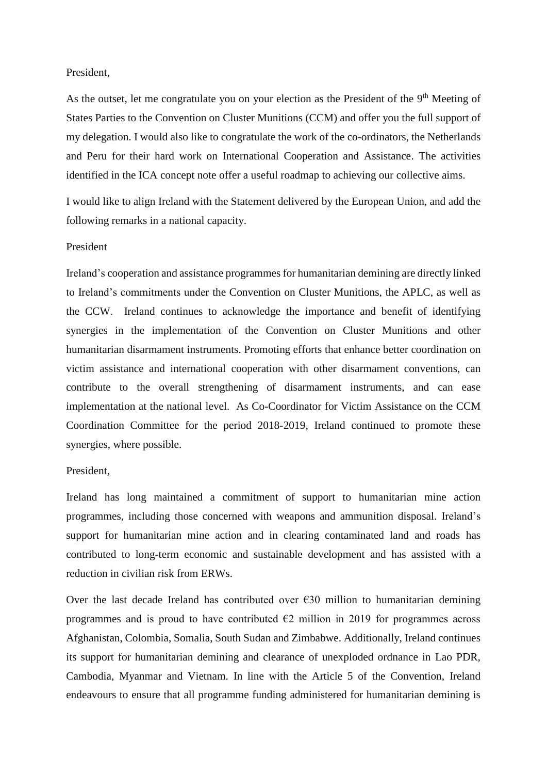# President,

As the outset, let me congratulate you on your election as the President of the 9<sup>th</sup> Meeting of States Parties to the Convention on Cluster Munitions (CCM) and offer you the full support of my delegation. I would also like to congratulate the work of the co-ordinators, the Netherlands and Peru for their hard work on International Cooperation and Assistance. The activities identified in the ICA concept note offer a useful roadmap to achieving our collective aims.

I would like to align Ireland with the Statement delivered by the European Union, and add the following remarks in a national capacity.

#### President

Ireland's cooperation and assistance programmes for humanitarian demining are directly linked to Ireland's commitments under the Convention on Cluster Munitions, the APLC, as well as the CCW. Ireland continues to acknowledge the importance and benefit of identifying synergies in the implementation of the Convention on Cluster Munitions and other humanitarian disarmament instruments. Promoting efforts that enhance better coordination on victim assistance and international cooperation with other disarmament conventions, can contribute to the overall strengthening of disarmament instruments, and can ease implementation at the national level. As Co-Coordinator for Victim Assistance on the CCM Coordination Committee for the period 2018-2019, Ireland continued to promote these synergies, where possible.

# President,

Ireland has long maintained a commitment of support to humanitarian mine action programmes, including those concerned with weapons and ammunition disposal. Ireland's support for humanitarian mine action and in clearing contaminated land and roads has contributed to long-term economic and sustainable development and has assisted with a reduction in civilian risk from ERWs.

Over the last decade Ireland has contributed over  $\epsilon$ 30 million to humanitarian demining programmes and is proud to have contributed  $\epsilon$ 2 million in 2019 for programmes across Afghanistan, Colombia, Somalia, South Sudan and Zimbabwe. Additionally, Ireland continues its support for humanitarian demining and clearance of unexploded ordnance in Lao PDR, Cambodia, Myanmar and Vietnam. In line with the Article 5 of the Convention, Ireland endeavours to ensure that all programme funding administered for humanitarian demining is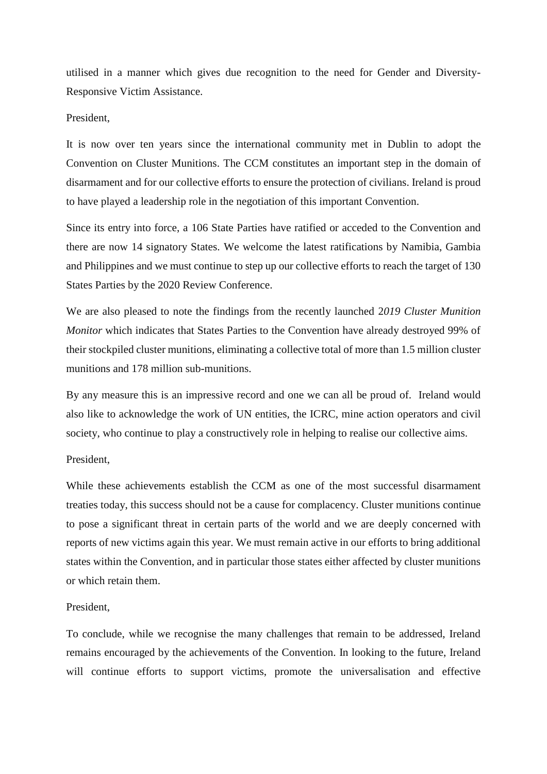utilised in a manner which gives due recognition to the need for Gender and Diversity-Responsive Victim Assistance.

## President,

It is now over ten years since the international community met in Dublin to adopt the Convention on Cluster Munitions. The CCM constitutes an important step in the domain of disarmament and for our collective efforts to ensure the protection of civilians. Ireland is proud to have played a leadership role in the negotiation of this important Convention.

Since its entry into force, a 106 State Parties have ratified or acceded to the Convention and there are now 14 signatory States. We welcome the latest ratifications by Namibia, Gambia and Philippines and we must continue to step up our collective efforts to reach the target of 130 States Parties by the 2020 Review Conference.

We are also pleased to note the findings from the recently launched 2*019 Cluster Munition Monitor* which indicates that States Parties to the Convention have already destroyed 99% of their stockpiled cluster munitions, eliminating a collective total of more than 1.5 million cluster munitions and 178 million sub-munitions.

By any measure this is an impressive record and one we can all be proud of. Ireland would also like to acknowledge the work of UN entities, the ICRC, mine action operators and civil society, who continue to play a constructively role in helping to realise our collective aims.

#### President,

While these achievements establish the CCM as one of the most successful disarmament treaties today, this success should not be a cause for complacency. Cluster munitions continue to pose a significant threat in certain parts of the world and we are deeply concerned with reports of new victims again this year. We must remain active in our efforts to bring additional states within the Convention, and in particular those states either affected by cluster munitions or which retain them.

## President,

To conclude, while we recognise the many challenges that remain to be addressed, Ireland remains encouraged by the achievements of the Convention. In looking to the future, Ireland will continue efforts to support victims, promote the universalisation and effective